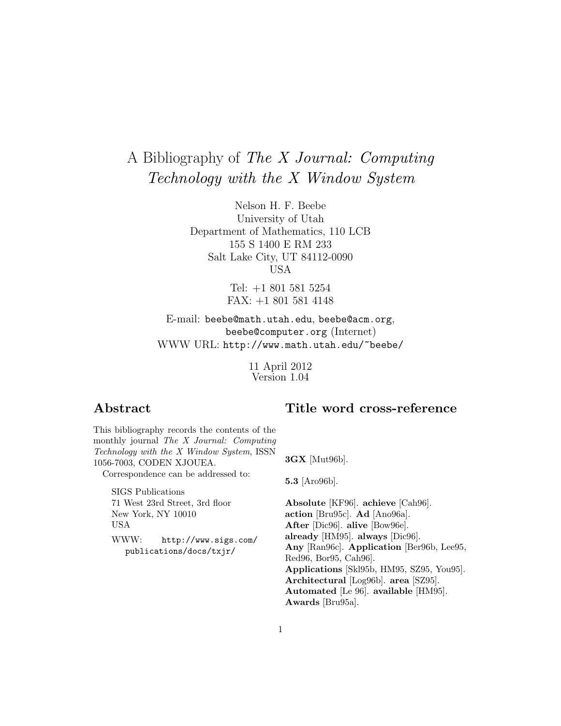# A Bibliography of The X Journal: Computing Technology with the X Window System

Nelson H. F. Beebe University of Utah Department of Mathematics, 110 LCB 155 S 1400 E RM 233 Salt Lake City, UT 84112-0090 USA

> Tel: +1 801 581 5254 FAX: +1 801 581 4148

E-mail: beebe@math.utah.edu, beebe@acm.org, beebe@computer.org (Internet) WWW URL: http://www.math.utah.edu/~beebe/

> 11 April 2012 Version 1.04

## **Abstract**

## **Title word cross-reference**

| This bibliography records the contents of the                         |                                           |
|-----------------------------------------------------------------------|-------------------------------------------|
| monthly journal The X Journal: Computing                              |                                           |
| Technology with the X Window System, ISSN<br>1056-7003, CODEN XJOUEA. | $3GX$ [Mut96b].                           |
| Correspondence can be addressed to:                                   | $5.3$ [Aro96b].                           |
| <b>SIGS</b> Publications                                              |                                           |
| 71 West 23rd Street, 3rd floor                                        | Absolute [KF96]. achieve [Cah96].         |
| New York, NY 10010                                                    | action [Bru95c]. Ad [Ano96a].             |
| <b>USA</b>                                                            | After [Dic96]. alive [Bow96e].            |
| WWW:<br>http://www.sigs.com/                                          | already [HM95]. always [Dic96].           |
| publications/docs/txjr/                                               | Any [Ran96c]. Application [Ber96b, Lee95, |
|                                                                       | Red96, Bor95, Cah96.                      |
|                                                                       | Applications [Skl95b, HM95, SZ95, You95]. |
|                                                                       | Architectural [Log96b]. area [SZ95].      |
|                                                                       | Automated [Le 96]. available [HM95].      |
|                                                                       | <b>Awards</b> [Bru95a].                   |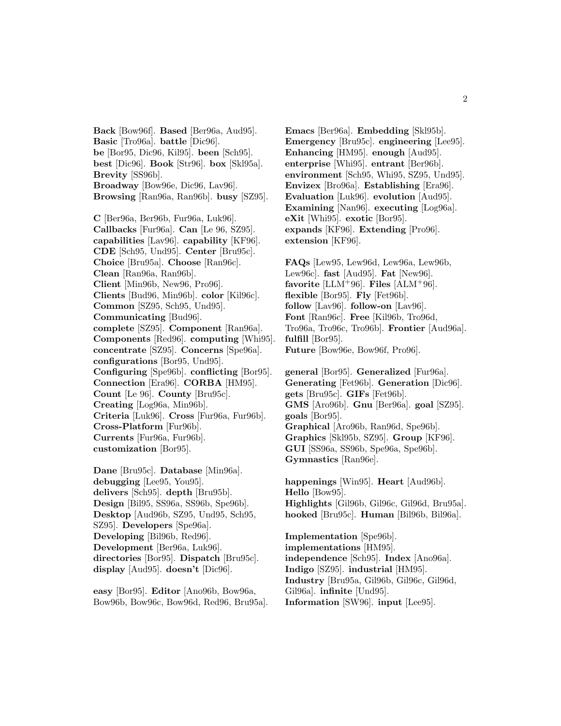**Back** [Bow96f]. **Based** [Ber96a, Aud95]. **Basic** [Tro96a]. **battle** [Dic96]. **be** [Bor95, Dic96, Kil95]. **been** [Sch95]. **best** [Dic96]. **Book** [Str96]. **box** [Skl95a]. **Brevity** [SS96b]. **Broadway** [Bow96e, Dic96, Lav96]. **Browsing** [Ran96a, Ran96b]. **busy** [SZ95].

**C** [Ber96a, Ber96b, Fur96a, Luk96]. **Callbacks** [Fur96a]. **Can** [Le 96, SZ95]. **capabilities** [Lav96]. **capability** [KF96]. **CDE** [Sch95, Und95]. **Center** [Bru95c]. **Choice** [Bru95a]. **Choose** [Ran96c]. **Clean** [Ran96a, Ran96b]. **Client** [Min96b, New96, Pro96]. **Clients** [Bud96, Min96b]. **color** [Kil96c]. **Common** [SZ95, Sch95, Und95]. **Communicating** [Bud96]. **complete** [SZ95]. **Component** [Ran96a]. **Components** [Red96]. **computing** [Whi95]. **concentrate** [SZ95]. **Concerns** [Spe96a]. **configurations** [Bor95, Und95]. **Configuring** [Spe96b]. **conflicting** [Bor95]. **Connection** [Era96]. **CORBA** [HM95]. **Count** [Le 96]. **County** [Bru95c]. **Creating** [Log96a, Min96b]. **Criteria** [Luk96]. **Cross** [Fur96a, Fur96b]. **Cross-Platform** [Fur96b]. **Currents** [Fur96a, Fur96b]. **customization** [Bor95].

**Dane** [Bru95c]. **Database** [Min96a]. **debugging** [Lee95, You95]. **delivers** [Sch95]. **depth** [Bru95b]. **Design** [Bil95, SS96a, SS96b, Spe96b]. **Desktop** [Aud96b, SZ95, Und95, Sch95, SZ95]. **Developers** [Spe96a]. **Developing** [Bil96b, Red96]. **Development** [Ber96a, Luk96]. **directories** [Bor95]. **Dispatch** [Bru95c]. **display** [Aud95]. **doesn't** [Dic96].

**easy** [Bor95]. **Editor** [Ano96b, Bow96a, Bow96b, Bow96c, Bow96d, Red96, Bru95a].

**Emacs** [Ber96a]. **Embedding** [Skl95b]. **Emergency** [Bru95c]. **engineering** [Lee95]. **Enhancing** [HM95]. **enough** [Aud95]. **enterprise** [Whi95]. **entrant** [Ber96b]. **environment** [Sch95, Whi95, SZ95, Und95]. **Envizex** [Bro96a]. **Establishing** [Era96]. **Evaluation** [Luk96]. **evolution** [Aud95]. **Examining** [Nan96]. **executing** [Log96a]. **eXit** [Whi95]. **exotic** [Bor95]. **expands** [KF96]. **Extending** [Pro96]. **extension** [KF96].

**FAQs** [Lew95, Lew96d, Lew96a, Lew96b, Lew96c]. **fast** [Aud95]. **Fat** [New96]. **favorite** [LLM+96]. **Files** [ALM+96]. **flexible** [Bor95]. **Fly** [Fet96b]. **follow** [Lav96]. **follow-on** [Lav96]. **Font** [Ran96c]. **Free** [Kil96b, Tro96d, Tro96a, Tro96c, Tro96b]. **Frontier** [Aud96a]. **fulfill** [Bor95]. **Future** [Bow96e, Bow96f, Pro96].

**general** [Bor95]. **Generalized** [Fur96a]. **Generating** [Fet96b]. **Generation** [Dic96]. **gets** [Bru95c]. **GIFs** [Fet96b]. **GMS** [Aro96b]. **Gnu** [Ber96a]. **goal** [SZ95]. **goals** [Bor95]. **Graphical** [Aro96b, Ran96d, Spe96b]. **Graphics** [Skl95b, SZ95]. **Group** [KF96]. **GUI** [SS96a, SS96b, Spe96a, Spe96b]. **Gymnastics** [Ran96e].

**happenings** [Win95]. **Heart** [Aud96b]. **Hello** [Bow95]. **Highlights** [Gil96b, Gil96c, Gil96d, Bru95a]. **hooked** [Bru95c]. **Human** [Bil96b, Bil96a].

**Implementation** [Spe96b]. **implementations** [HM95]. **independence** [Sch95]. **Index** [Ano96a]. **Indigo** [SZ95]. **industrial** [HM95]. **Industry** [Bru95a, Gil96b, Gil96c, Gil96d, Gil96a]. **infinite** [Und95]. **Information** [SW96]. **input** [Lee95].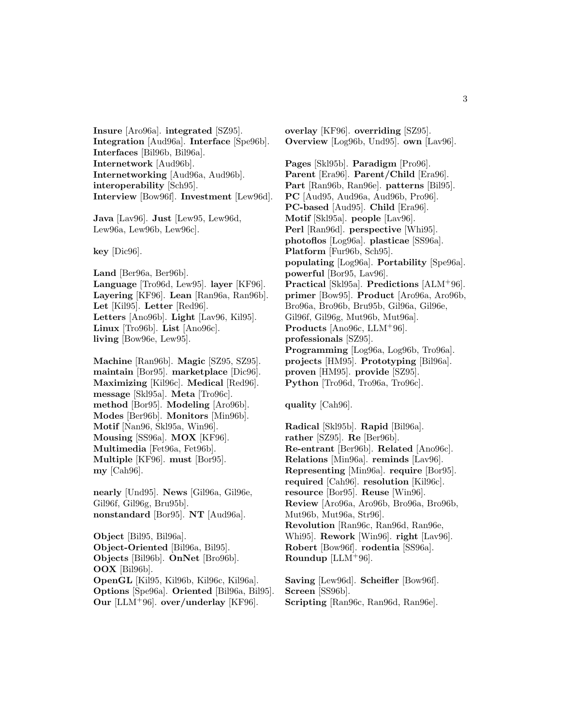**Insure** [Aro96a]. **integrated** [SZ95]. **Integration** [Aud96a]. **Interface** [Spe96b]. **Interfaces** [Bil96b, Bil96a]. **Internetwork** [Aud96b]. **Internetworking** [Aud96a, Aud96b]. **interoperability** [Sch95]. **Interview** [Bow96f]. **Investment** [Lew96d].

**Java** [Lav96]. **Just** [Lew95, Lew96d, Lew96a, Lew96b, Lew96c].

**key** [Dic96].

**Land** [Ber96a, Ber96b]. **Language** [Tro96d, Lew95]. **layer** [KF96]. **Layering** [KF96]. **Lean** [Ran96a, Ran96b]. **Let** [Kil95]. **Letter** [Red96]. **Letters** [Ano96b]. **Light** [Lav96, Kil95]. **Linux** [Tro96b]. **List** [Ano96c]. **living** [Bow96e, Lew95].

**Machine** [Ran96b]. **Magic** [SZ95, SZ95]. **maintain** [Bor95]. **marketplace** [Dic96]. **Maximizing** [Kil96c]. **Medical** [Red96]. **message** [Skl95a]. **Meta** [Tro96c]. **method** [Bor95]. **Modeling** [Aro96b]. **Modes** [Ber96b]. **Monitors** [Min96b]. **Motif** [Nan96, Skl95a, Win96]. **Mousing** [SS96a]. **MOX** [KF96]. **Multimedia** [Fet96a, Fet96b]. **Multiple** [KF96]. **must** [Bor95]. **my** [Cah96].

**nearly** [Und95]. **News** [Gil96a, Gil96e, Gil96f, Gil96g, Bru95b]. **nonstandard** [Bor95]. **NT** [Aud96a].

**Object** [Bil95, Bil96a]. **Object-Oriented** [Bil96a, Bil95]. **Objects** [Bil96b]. **OnNet** [Bro96b]. **OOX** [Bil96b]. **OpenGL** [Kil95, Kil96b, Kil96c, Kil96a]. **Options** [Spe96a]. **Oriented** [Bil96a, Bil95]. **Our** [LLM<sup>+</sup>96]. **over/underlay** [KF96].

**overlay** [KF96]. **overriding** [SZ95]. **Overview** [Log96b, Und95]. **own** [Lav96].

**Pages** [Skl95b]. **Paradigm** [Pro96]. **Parent** [Era96]. **Parent/Child** [Era96]. **Part** [Ran96b, Ran96e]. **patterns** [Bil95]. **PC** [Aud95, Aud96a, Aud96b, Pro96]. **PC-based** [Aud95]. **Child** [Era96]. **Motif** [Skl95a]. **people** [Lav96]. **Perl** [Ran96d]. **perspective** [Whi95]. **photoflos** [Log96a]. **plasticae** [SS96a]. **Platform** [Fur96b, Sch95]. **populating** [Log96a]. **Portability** [Spe96a]. **powerful** [Bor95, Lav96]. **Practical** [Skl95a]. **Predictions** [ALM<sup>+</sup>96]. **primer** [Bow95]. **Product** [Aro96a, Aro96b, Bro96a, Bro96b, Bru95b, Gil96a, Gil96e, Gil96f, Gil96g, Mut96b, Mut96a]. **Products** [Ano96c, LLM<sup>+</sup>96]. **professionals** [SZ95]. **Programming** [Log96a, Log96b, Tro96a]. **projects** [HM95]. **Prototyping** [Bil96a]. **proven** [HM95]. **provide** [SZ95]. **Python** [Tro96d, Tro96a, Tro96c].

**quality** [Cah96].

**Radical** [Skl95b]. **Rapid** [Bil96a]. **rather** [SZ95]. **Re** [Ber96b]. **Re-entrant** [Ber96b]. **Related** [Ano96c]. **Relations** [Min96a]. **reminds** [Lav96]. **Representing** [Min96a]. **require** [Bor95]. **required** [Cah96]. **resolution** [Kil96c]. **resource** [Bor95]. **Reuse** [Win96]. **Review** [Aro96a, Aro96b, Bro96a, Bro96b, Mut96b, Mut96a, Str96]. **Revolution** [Ran96c, Ran96d, Ran96e, Whi95]. **Rework** [Win96]. **right** [Lav96]. **Robert** [Bow96f]. **rodentia** [SS96a]. **Roundup** [LLM<sup>+</sup>96].

**Saving** [Lew96d]. **Scheifler** [Bow96f]. **Screen** [SS96b]. **Scripting** [Ran96c, Ran96d, Ran96e].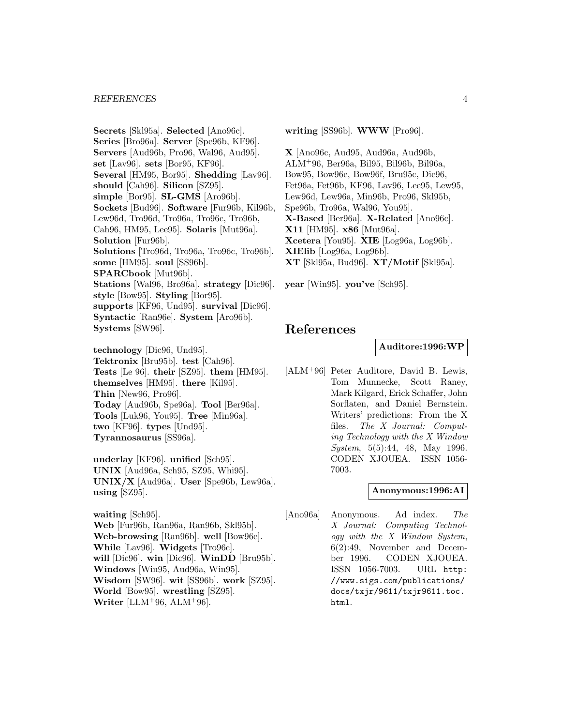**Secrets** [Skl95a]. **Selected** [Ano96c]. **Series** [Bro96a]. **Server** [Spe96b, KF96]. **Servers** [Aud96b, Pro96, Wal96, Aud95]. **set** [Lav96]. **sets** [Bor95, KF96]. **Several** [HM95, Bor95]. **Shedding** [Lav96]. **should** [Cah96]. **Silicon** [SZ95]. **simple** [Bor95]. **SL-GMS** [Aro96b]. **Sockets** [Bud96]. **Software** [Fur96b, Kil96b, Lew96d, Tro96d, Tro96a, Tro96c, Tro96b, Cah96, HM95, Lee95]. **Solaris** [Mut96a]. **Solution** [Fur96b]. **Solutions** [Tro96d, Tro96a, Tro96c, Tro96b]. **some** [HM95]. **soul** [SS96b]. **SPARCbook** [Mut96b]. **Stations** [Wal96, Bro96a]. **strategy** [Dic96]. **style** [Bow95]. **Styling** [Bor95]. **supports** [KF96, Und95]. **survival** [Dic96]. **Syntactic** [Ran96e]. **System** [Aro96b].

**Systems** [SW96]. **technology** [Dic96, Und95]. **Tektronix** [Bru95b]. **test** [Cah96]. **Tests** [Le 96]. **their** [SZ95]. **them** [HM95]. **themselves** [HM95]. **there** [Kil95]. **Thin** [New96, Pro96]. **Today** [Aud96b, Spe96a]. **Tool** [Ber96a]. **Tools** [Luk96, You95]. **Tree** [Min96a]. **two** [KF96]. **types** [Und95]. **Tyrannosaurus** [SS96a].

**underlay** [KF96]. **unified** [Sch95]. **UNIX** [Aud96a, Sch95, SZ95, Whi95]. **UNIX/X** [Aud96a]. **User** [Spe96b, Lew96a]. **using** [SZ95].

**waiting** [Sch95]. **Web** [Fur96b, Ran96a, Ran96b, Skl95b]. **Web-browsing** [Ran96b]. **well** [Bow96e]. **While** [Lav96]. **Widgets** [Tro96c]. **will** [Dic96]. **win** [Dic96]. **WinDD** [Bru95b]. **Windows** [Win95, Aud96a, Win95]. **Wisdom** [SW96]. **wit** [SS96b]. **work** [SZ95]. **World** [Bow95]. **wrestling** [SZ95]. **Writer** [LLM<sup>+</sup>96, ALM<sup>+</sup>96].

**writing** [SS96b]. **WWW** [Pro96].

**X** [Ano96c, Aud95, Aud96a, Aud96b, ALM<sup>+</sup>96, Ber96a, Bil95, Bil96b, Bil96a, Bow95, Bow96e, Bow96f, Bru95c, Dic96, Fet96a, Fet96b, KF96, Lav96, Lee95, Lew95, Lew96d, Lew96a, Min96b, Pro96, Skl95b, Spe96b, Tro96a, Wal96, You95]. **X-Based** [Ber96a]. **X-Related** [Ano96c]. **X11** [HM95]. **x86** [Mut96a]. **Xcetera** [You95]. **XIE** [Log96a, Log96b]. **XIElib** [Log96a, Log96b]. **XT** [Skl95a, Bud96]. **XT/Motif** [Skl95a].

**year** [Win95]. **you've** [Sch95].

## **References**

**Auditore:1996:WP**

[ALM<sup>+</sup>96] Peter Auditore, David B. Lewis, Tom Munnecke, Scott Raney, Mark Kilgard, Erick Schaffer, John Sorflaten, and Daniel Bernstein. Writers' predictions: From the X files. The X Journal: Computing Technology with the X Window System, 5(5):44, 48, May 1996. CODEN XJOUEA. ISSN 1056- 7003.

#### **Anonymous:1996:AI**

[Ano96a] Anonymous. Ad index. The X Journal: Computing Technology with the X Window System, 6(2):49, November and December 1996. CODEN XJOUEA. ISSN 1056-7003. URL http: //www.sigs.com/publications/ docs/txjr/9611/txjr9611.toc. html.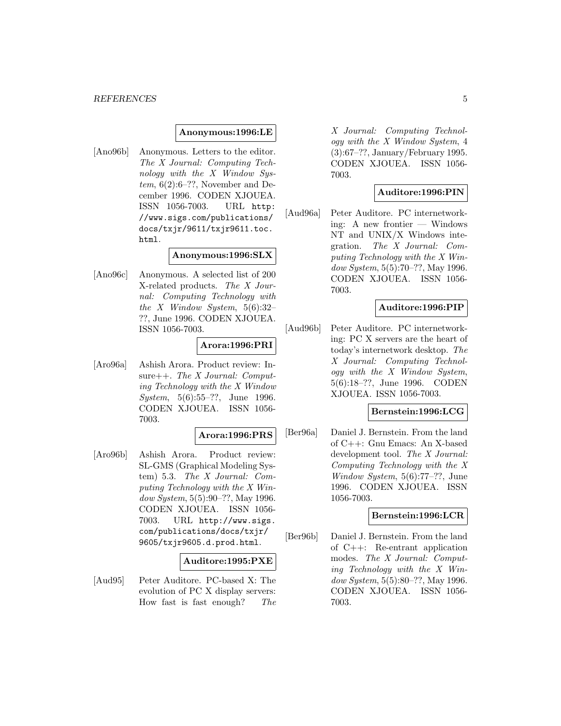#### **Anonymous:1996:LE**

[Ano96b] Anonymous. Letters to the editor. The X Journal: Computing Technology with the X Window Sys $tem, 6(2):6-??$ , November and December 1996. CODEN XJOUEA. ISSN 1056-7003. URL http: //www.sigs.com/publications/ docs/txjr/9611/txjr9611.toc. html.

#### **Anonymous:1996:SLX**

[Ano96c] Anonymous. A selected list of 200 X-related products. The X Journal: Computing Technology with the X Window System,  $5(6):32-$ ??, June 1996. CODEN XJOUEA. ISSN 1056-7003.

#### **Arora:1996:PRI**

[Aro96a] Ashish Arora. Product review: Insure++. The X Journal: Computing Technology with the X Window System, 5(6):55–??, June 1996. CODEN XJOUEA. ISSN 1056- 7003.

#### **Arora:1996:PRS**

[Aro96b] Ashish Arora. Product review: SL-GMS (Graphical Modeling System) 5.3. The X Journal: Computing Technology with the X Window System, 5(5):90–??, May 1996. CODEN XJOUEA. ISSN 1056- 7003. URL http://www.sigs. com/publications/docs/txjr/ 9605/txjr9605.d.prod.html.

#### **Auditore:1995:PXE**

[Aud95] Peter Auditore. PC-based X: The evolution of PC X display servers: How fast is fast enough? The X Journal: Computing Technology with the X Window System, 4 (3):67–??, January/February 1995. CODEN XJOUEA. ISSN 1056- 7003.

#### **Auditore:1996:PIN**

[Aud96a] Peter Auditore. PC internetworking: A new frontier — Windows NT and UNIX/X Windows integration. The X Journal: Computing Technology with the X Window System, 5(5):70–??, May 1996. CODEN XJOUEA. ISSN 1056- 7003.

#### **Auditore:1996:PIP**

[Aud96b] Peter Auditore. PC internetworking: PC X servers are the heart of today's internetwork desktop. The X Journal: Computing Technology with the X Window System, 5(6):18–??, June 1996. CODEN XJOUEA. ISSN 1056-7003.

#### **Bernstein:1996:LCG**

[Ber96a] Daniel J. Bernstein. From the land of C++: Gnu Emacs: An X-based development tool. The X Journal: Computing Technology with the X Window System, 5(6):77–??, June 1996. CODEN XJOUEA. ISSN 1056-7003.

#### **Bernstein:1996:LCR**

[Ber96b] Daniel J. Bernstein. From the land of C++: Re-entrant application modes. The X Journal: Computing Technology with the X Window System, 5(5):80–??, May 1996. CODEN XJOUEA. ISSN 1056- 7003.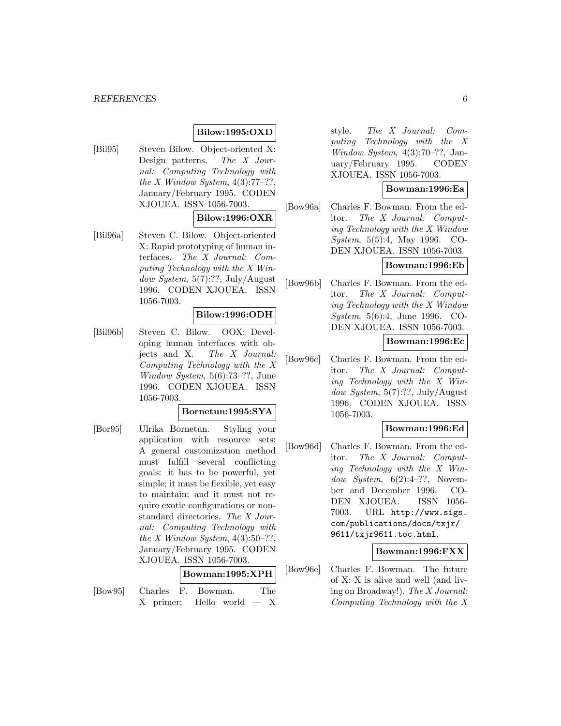## **Bilow:1995:OXD**

[Bil95] Steven Bilow. Object-oriented X: Design patterns. The X Journal: Computing Technology with the X Window System,  $4(3):77-??$ , January/February 1995. CODEN XJOUEA. ISSN 1056-7003.

#### **Bilow:1996:OXR**

[Bil96a] Steven C. Bilow. Object-oriented X: Rapid prototyping of human interfaces. The X Journal: Computing Technology with the X Window System, 5(7):??, July/August 1996. CODEN XJOUEA. ISSN 1056-7003.

#### **Bilow:1996:ODH**

[Bil96b] Steven C. Bilow. OOX: Developing human interfaces with objects and X. The X Journal: Computing Technology with the X Window System, 5(6):73–??, June 1996. CODEN XJOUEA. ISSN 1056-7003.

#### **Bornetun:1995:SYA**

[Bor95] Ulrika Bornetun. Styling your application with resource sets: A general customization method must fulfill several conflicting goals: it has to be powerful, yet simple; it must be flexible, yet easy to maintain; and it must not require exotic configurations or nonstandard directories. The X Journal: Computing Technology with the X Window System,  $4(3):50-??$ , January/February 1995. CODEN XJOUEA. ISSN 1056-7003.

#### **Bowman:1995:XPH**

[Bow95] Charles F. Bowman. The X primer: Hello world — X style. The X Journal: Computing Technology with the X Window System, 4(3):70–??, January/February 1995. CODEN XJOUEA. ISSN 1056-7003.

#### **Bowman:1996:Ea**

[Bow96a] Charles F. Bowman. From the editor. The X Journal: Computing Technology with the X Window System, 5(5):4, May 1996. CO-DEN XJOUEA. ISSN 1056-7003.

#### **Bowman:1996:Eb**

[Bow96b] Charles F. Bowman. From the editor. The X Journal: Computing Technology with the X Window System, 5(6):4, June 1996. CO-DEN XJOUEA. ISSN 1056-7003.

#### **Bowman:1996:Ec**

[Bow96c] Charles F. Bowman. From the editor. The X Journal: Computing Technology with the X Window System, 5(7):??, July/August 1996. CODEN XJOUEA. ISSN 1056-7003.

#### **Bowman:1996:Ed**

[Bow96d] Charles F. Bowman. From the editor. The X Journal: Computing Technology with the X Window System,  $6(2):4-??$ , November and December 1996. CO-DEN XJOUEA. ISSN 1056- 7003. URL http://www.sigs. com/publications/docs/txjr/ 9611/txjr9611.toc.html.

#### **Bowman:1996:FXX**

[Bow96e] Charles F. Bowman. The future of X: X is alive and well (and living on Broadway!). The X Journal: Computing Technology with the X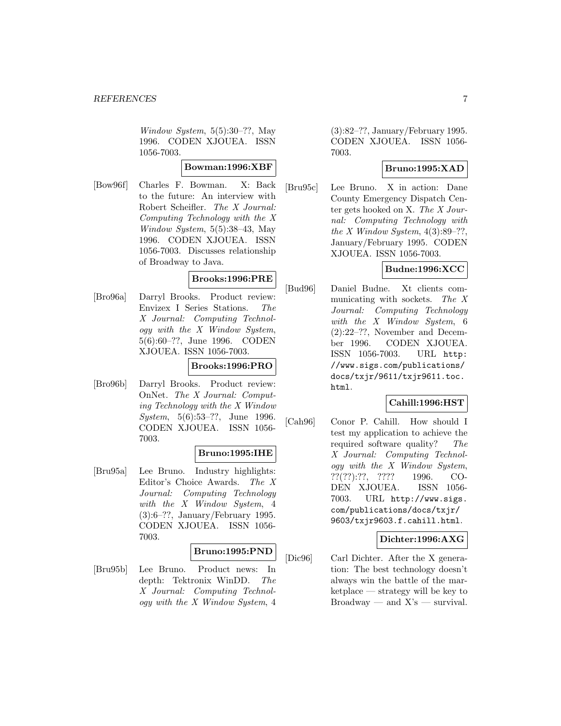Window System, 5(5):30–??, May 1996. CODEN XJOUEA. ISSN 1056-7003.

#### **Bowman:1996:XBF**

[Bow96f] Charles F. Bowman. X: Back to the future: An interview with Robert Scheifler. The X Journal: Computing Technology with the X Window System, 5(5):38–43, May 1996. CODEN XJOUEA. ISSN 1056-7003. Discusses relationship of Broadway to Java.

#### **Brooks:1996:PRE**

[Bro96a] Darryl Brooks. Product review: Envizex I Series Stations. The X Journal: Computing Technology with the X Window System, 5(6):60–??, June 1996. CODEN XJOUEA. ISSN 1056-7003.

## **Brooks:1996:PRO**

[Bro96b] Darryl Brooks. Product review: OnNet. The X Journal: Computing Technology with the X Window System, 5(6):53–??, June 1996. CODEN XJOUEA. ISSN 1056- 7003.

#### **Bruno:1995:IHE**

[Bru95a] Lee Bruno. Industry highlights: Editor's Choice Awards. The X Journal: Computing Technology with the X Window System, 4 (3):6–??, January/February 1995. CODEN XJOUEA. ISSN 1056- 7003.

#### **Bruno:1995:PND**

[Bru95b] Lee Bruno. Product news: In depth: Tektronix WinDD. The X Journal: Computing Technology with the X Window System, 4

(3):82–??, January/February 1995. CODEN XJOUEA. ISSN 1056- 7003.

## **Bruno:1995:XAD**

[Bru95c] Lee Bruno. X in action: Dane County Emergency Dispatch Center gets hooked on X. The X Journal: Computing Technology with the X Window System,  $4(3):89-??$ , January/February 1995. CODEN XJOUEA. ISSN 1056-7003.

## **Budne:1996:XCC**

[Bud96] Daniel Budne. Xt clients communicating with sockets. The X Journal: Computing Technology with the X Window System, 6 (2):22–??, November and December 1996. CODEN XJOUEA. ISSN 1056-7003. URL http: //www.sigs.com/publications/ docs/txjr/9611/txjr9611.toc. html.

## **Cahill:1996:HST**

[Cah96] Conor P. Cahill. How should I test my application to achieve the required software quality? The X Journal: Computing Technology with the X Window System, ??(??):??, ???? 1996. CO-DEN XJOUEA. ISSN 1056- 7003. URL http://www.sigs. com/publications/docs/txjr/ 9603/txjr9603.f.cahill.html.

#### **Dichter:1996:AXG**

[Dic96] Carl Dichter. After the X generation: The best technology doesn't always win the battle of the marketplace — strategy will be key to  $Broadway$  — and  $X's$  — survival.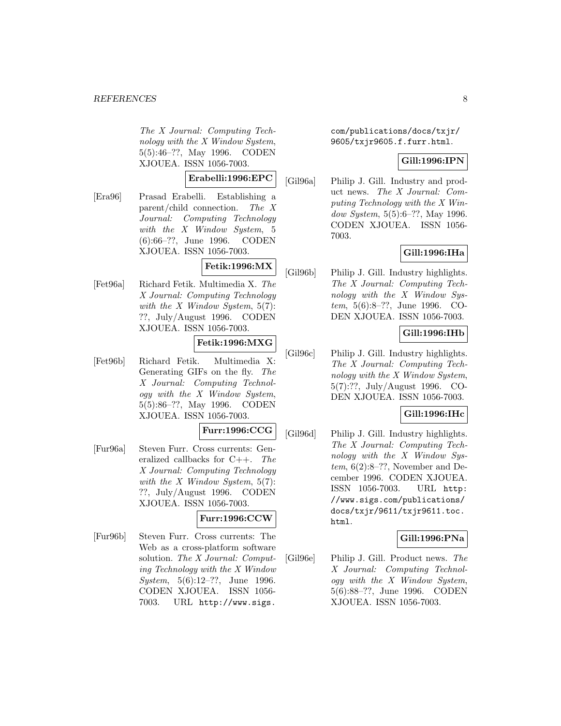The X Journal: Computing Technology with the X Window System, 5(5):46–??, May 1996. CODEN XJOUEA. ISSN 1056-7003.

#### **Erabelli:1996:EPC**

[Era96] Prasad Erabelli. Establishing a parent/child connection. The X Journal: Computing Technology with the X Window System, 5 (6):66–??, June 1996. CODEN XJOUEA. ISSN 1056-7003.

## **Fetik:1996:MX**

[Fet96a] Richard Fetik. Multimedia X. The X Journal: Computing Technology with the  $X$  Window System, 5(7): ??, July/August 1996. CODEN XJOUEA. ISSN 1056-7003.

#### **Fetik:1996:MXG**

[Fet96b] Richard Fetik. Multimedia X: Generating GIFs on the fly. The X Journal: Computing Technology with the X Window System, 5(5):86–??, May 1996. CODEN XJOUEA. ISSN 1056-7003.

### **Furr:1996:CCG**

[Fur96a] Steven Furr. Cross currents: Generalized callbacks for  $C++$ . The X Journal: Computing Technology with the  $X$  Window System, 5(7): ??, July/August 1996. CODEN XJOUEA. ISSN 1056-7003.

#### **Furr:1996:CCW**

[Fur96b] Steven Furr. Cross currents: The Web as a cross-platform software solution. The X Journal: Computing Technology with the X Window System, 5(6):12–??, June 1996. CODEN XJOUEA. ISSN 1056- 7003. URL http://www.sigs.

com/publications/docs/txjr/ 9605/txjr9605.f.furr.html.

#### **Gill:1996:IPN**

[Gil96a] Philip J. Gill. Industry and product news. The X Journal: Computing Technology with the X Window System, 5(5):6–??, May 1996. CODEN XJOUEA. ISSN 1056- 7003.

## **Gill:1996:IHa**

[Gil96b] Philip J. Gill. Industry highlights. The X Journal: Computing Technology with the X Window System, 5(6):8–??, June 1996. CO-DEN XJOUEA. ISSN 1056-7003.

## **Gill:1996:IHb**

[Gil96c] Philip J. Gill. Industry highlights. The X Journal: Computing Technology with the X Window System, 5(7):??, July/August 1996. CO-DEN XJOUEA. ISSN 1056-7003.

#### **Gill:1996:IHc**

[Gil96d] Philip J. Gill. Industry highlights. The X Journal: Computing Technology with the X Window Sys $tem, 6(2):8-??$ , November and December 1996. CODEN XJOUEA. ISSN 1056-7003. URL http: //www.sigs.com/publications/ docs/txjr/9611/txjr9611.toc. html.

#### **Gill:1996:PNa**

[Gil96e] Philip J. Gill. Product news. The X Journal: Computing Technology with the X Window System, 5(6):88–??, June 1996. CODEN XJOUEA. ISSN 1056-7003.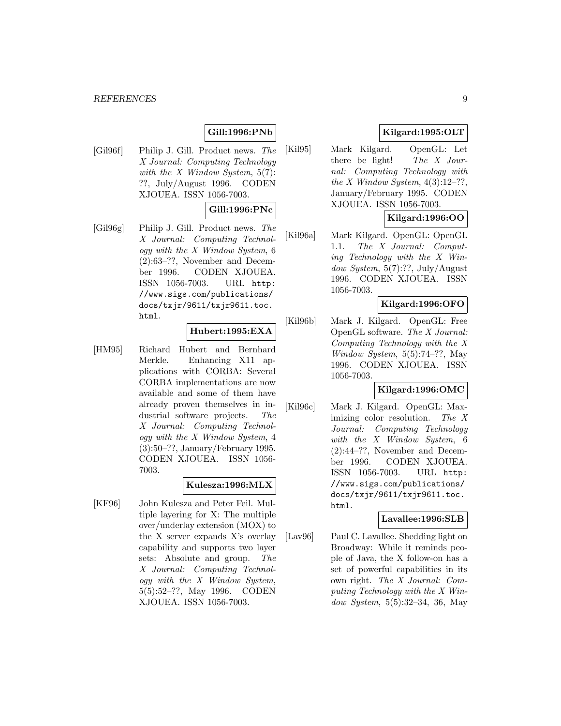## **Gill:1996:PNb**

[Gil96f] Philip J. Gill. Product news. The X Journal: Computing Technology with the  $X$  Window System,  $5(7)$ : ??, July/August 1996. CODEN XJOUEA. ISSN 1056-7003.

## **Gill:1996:PNc**

[Gil96g] Philip J. Gill. Product news. The X Journal: Computing Technology with the X Window System, 6 (2):63–??, November and December 1996. CODEN XJOUEA. ISSN 1056-7003. URL http: //www.sigs.com/publications/ docs/txjr/9611/txjr9611.toc. html.

#### **Hubert:1995:EXA**

[HM95] Richard Hubert and Bernhard Merkle. Enhancing X11 applications with CORBA: Several CORBA implementations are now available and some of them have already proven themselves in industrial software projects. The X Journal: Computing Technology with the X Window System, 4 (3):50–??, January/February 1995. CODEN XJOUEA. ISSN 1056- 7003.

#### **Kulesza:1996:MLX**

[KF96] John Kulesza and Peter Feil. Multiple layering for X: The multiple over/underlay extension (MOX) to the X server expands X's overlay capability and supports two layer sets: Absolute and group. The X Journal: Computing Technology with the X Window System,  $5(5):52-??$ , May 1996. CODEN  $5(5):52-??$ , May 1996. XJOUEA. ISSN 1056-7003.

## **Kilgard:1995:OLT**

[Kil95] Mark Kilgard. OpenGL: Let there be light! The X Journal: Computing Technology with the X Window System,  $4(3):12-??$ , January/February 1995. CODEN XJOUEA. ISSN 1056-7003.

#### **Kilgard:1996:OO**

[Kil96a] Mark Kilgard. OpenGL: OpenGL 1.1. The X Journal: Computing Technology with the X Window System,  $5(7)$ :??, July/August 1996. CODEN XJOUEA. ISSN 1056-7003.

#### **Kilgard:1996:OFO**

[Kil96b] Mark J. Kilgard. OpenGL: Free OpenGL software. The X Journal: Computing Technology with the X Window System,  $5(5):74-??$ , May 1996. CODEN XJOUEA. ISSN 1056-7003.

#### **Kilgard:1996:OMC**

[Kil96c] Mark J. Kilgard. OpenGL: Maximizing color resolution. The X Journal: Computing Technology with the X Window System, 6 (2):44–??, November and December 1996. CODEN XJOUEA. ISSN 1056-7003. URL http: //www.sigs.com/publications/ docs/txjr/9611/txjr9611.toc. html.

#### **Lavallee:1996:SLB**

[Lav96] Paul C. Lavallee. Shedding light on Broadway: While it reminds people of Java, the X follow-on has a set of powerful capabilities in its own right. The X Journal: Computing Technology with the X Window System, 5(5):32–34, 36, May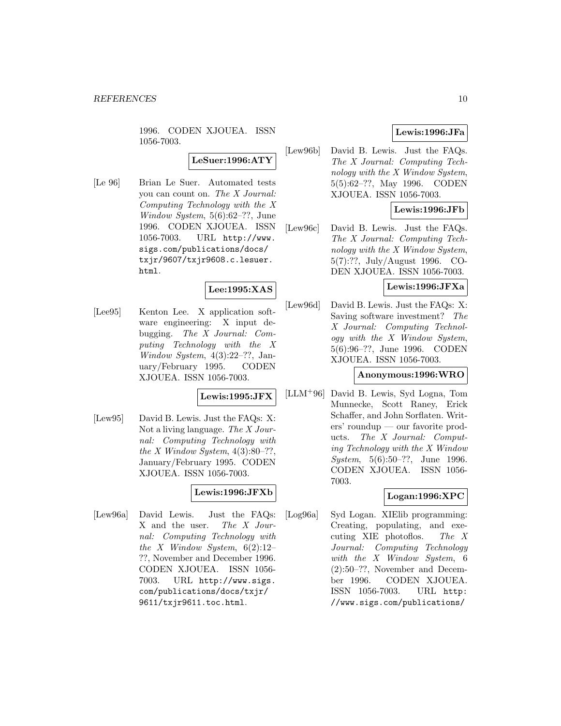1996. CODEN XJOUEA. ISSN 1056-7003.

**LeSuer:1996:ATY**

[Le 96] Brian Le Suer. Automated tests you can count on. The X Journal: Computing Technology with the X Window System, 5(6):62–??, June 1996. CODEN XJOUEA. ISSN 1056-7003. URL http://www. sigs.com/publications/docs/ txjr/9607/txjr9608.c.lesuer. html.

## **Lee:1995:XAS**

[Lee95] Kenton Lee. X application software engineering: X input debugging. The X Journal: Computing Technology with the X Window System,  $4(3):22-??$ , January/February 1995. CODEN XJOUEA. ISSN 1056-7003.

**Lewis:1995:JFX**

[Lew95] David B. Lewis. Just the FAQs: X: Not a living language. The X Journal: Computing Technology with the X Window System,  $4(3):80-??$ , January/February 1995. CODEN XJOUEA. ISSN 1056-7003.

## **Lewis:1996:JFXb**

[Lew96a] David Lewis. Just the FAQs: X and the user. The X Journal: Computing Technology with the X Window System,  $6(2):12-$ ??, November and December 1996. CODEN XJOUEA. ISSN 1056- 7003. URL http://www.sigs. com/publications/docs/txjr/ 9611/txjr9611.toc.html.

## **Lewis:1996:JFa**

[Lew96b] David B. Lewis. Just the FAQs. The X Journal: Computing Technology with the X Window System, 5(5):62–??, May 1996. CODEN XJOUEA. ISSN 1056-7003.

## **Lewis:1996:JFb**

[Lew96c] David B. Lewis. Just the FAQs. The X Journal: Computing Technology with the X Window System, 5(7):??, July/August 1996. CO-DEN XJOUEA. ISSN 1056-7003.

## **Lewis:1996:JFXa**

[Lew96d] David B. Lewis. Just the FAQs: X: Saving software investment? The X Journal: Computing Technology with the X Window System, 5(6):96–??, June 1996. CODEN XJOUEA. ISSN 1056-7003.

#### **Anonymous:1996:WRO**

[LLM<sup>+</sup>96] David B. Lewis, Syd Logna, Tom Munnecke, Scott Raney, Erick Schaffer, and John Sorflaten. Writers' roundup — our favorite products. The X Journal: Computing Technology with the X Window System, 5(6):50–??, June 1996. CODEN XJOUEA. ISSN 1056- 7003.

## **Logan:1996:XPC**

[Log96a] Syd Logan. XIElib programming: Creating, populating, and executing XIE photoflos. The X Journal: Computing Technology with the X Window System, 6 (2):50–??, November and December 1996. CODEN XJOUEA. ISSN 1056-7003. URL http: //www.sigs.com/publications/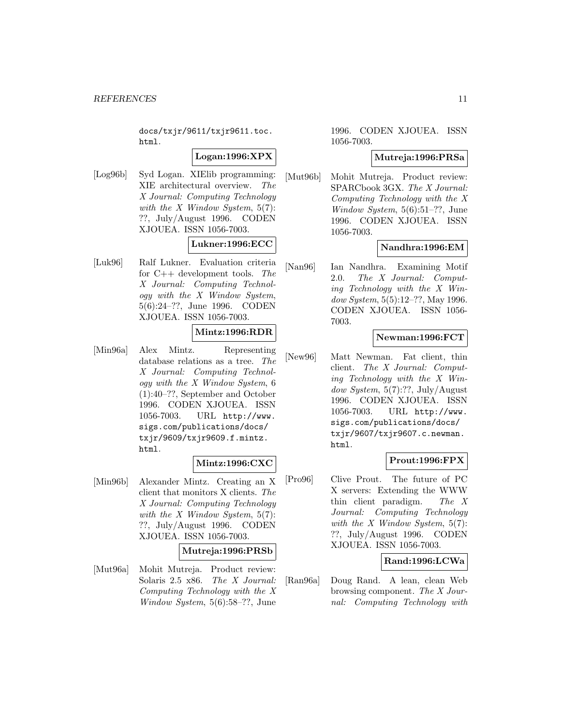docs/txjr/9611/txjr9611.toc. html.

#### **Logan:1996:XPX**

[Log96b] Syd Logan. XIElib programming: XIE architectural overview. The X Journal: Computing Technology with the  $X$  Window System, 5(7): ??, July/August 1996. CODEN XJOUEA. ISSN 1056-7003.

## **Lukner:1996:ECC**

[Luk96] Ralf Lukner. Evaluation criteria for  $C++$  development tools. The X Journal: Computing Technology with the X Window System, 5(6):24–??, June 1996. CODEN XJOUEA. ISSN 1056-7003.

## **Mintz:1996:RDR**

[Min96a] Alex Mintz. Representing database relations as a tree. The X Journal: Computing Technology with the X Window System, 6 (1):40–??, September and October 1996. CODEN XJOUEA. ISSN 1056-7003. URL http://www. sigs.com/publications/docs/ txjr/9609/txjr9609.f.mintz. html.

#### **Mintz:1996:CXC**

[Min96b] Alexander Mintz. Creating an X client that monitors X clients. The X Journal: Computing Technology with the  $X$  Window System,  $5(7)$ : ??, July/August 1996. CODEN XJOUEA. ISSN 1056-7003.

#### **Mutreja:1996:PRSb**

[Mut96a] Mohit Mutreja. Product review: Solaris 2.5 x86. The X Journal: Computing Technology with the X Window System, 5(6):58–??, June

### 1996. CODEN XJOUEA. ISSN 1056-7003.

#### **Mutreja:1996:PRSa**

[Mut96b] Mohit Mutreja. Product review: SPARCbook 3GX. The X Journal: Computing Technology with the X Window System, 5(6):51–??, June 1996. CODEN XJOUEA. ISSN 1056-7003.

#### **Nandhra:1996:EM**

[Nan96] Ian Nandhra. Examining Motif 2.0. The X Journal: Computing Technology with the X Window System, 5(5):12–??, May 1996. CODEN XJOUEA. ISSN 1056- 7003.

#### **Newman:1996:FCT**

[New96] Matt Newman. Fat client, thin client. The X Journal: Computing Technology with the X Window System,  $5(7)$ :??, July/August 1996. CODEN XJOUEA. ISSN 1056-7003. URL http://www. sigs.com/publications/docs/ txjr/9607/txjr9607.c.newman. html.

## **Prout:1996:FPX**

[Pro96] Clive Prout. The future of PC X servers: Extending the WWW thin client paradigm. The X Journal: Computing Technology with the  $X$  Window System, 5(7): ??, July/August 1996. CODEN XJOUEA. ISSN 1056-7003.

## **Rand:1996:LCWa**

[Ran96a] Doug Rand. A lean, clean Web browsing component. The X Journal: Computing Technology with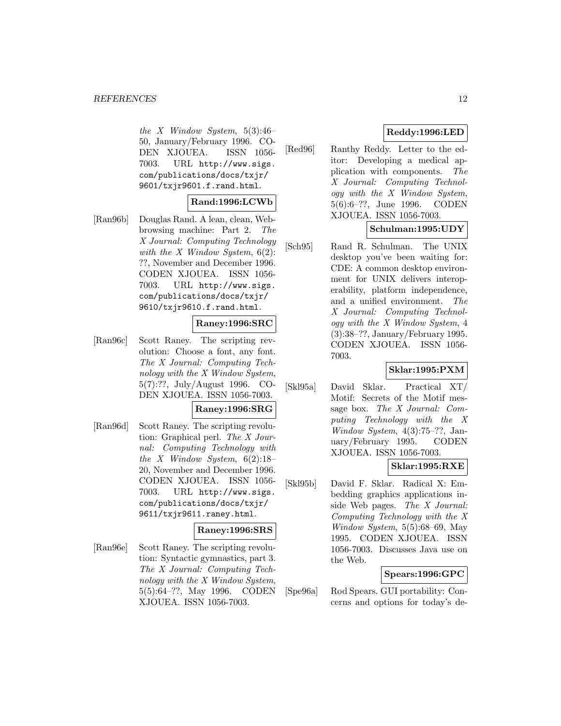the X Window System,  $5(3):46-$ 50, January/February 1996. CO-DEN XJOUEA. ISSN 1056- 7003. URL http://www.sigs. com/publications/docs/txjr/ 9601/txjr9601.f.rand.html.

#### **Rand:1996:LCWb**

[Ran96b] Douglas Rand. A lean, clean, Webbrowsing machine: Part 2. The X Journal: Computing Technology with the  $X$  Window System,  $6(2)$ : ??, November and December 1996. CODEN XJOUEA. ISSN 1056- 7003. URL http://www.sigs. com/publications/docs/txjr/ 9610/txjr9610.f.rand.html.

#### **Raney:1996:SRC**

[Ran96c] Scott Raney. The scripting revolution: Choose a font, any font. The X Journal: Computing Technology with the X Window System, 5(7):??, July/August 1996. CO-DEN XJOUEA. ISSN 1056-7003.

## **Raney:1996:SRG**

[Ran96d] Scott Raney. The scripting revolution: Graphical perl. The X Journal: Computing Technology with the X Window System,  $6(2):18-$ 20, November and December 1996. CODEN XJOUEA. ISSN 1056- 7003. URL http://www.sigs. com/publications/docs/txjr/ 9611/txjr9611.raney.html.

## **Raney:1996:SRS**

[Ran96e] Scott Raney. The scripting revolution: Syntactic gymnastics, part 3. The X Journal: Computing Technology with the X Window System, 5(5):64–??, May 1996. CODEN XJOUEA. ISSN 1056-7003.

## **Reddy:1996:LED**

[Red96] Ranthy Reddy. Letter to the editor: Developing a medical application with components. The X Journal: Computing Technology with the X Window System, 5(6):6–??, June 1996. CODEN XJOUEA. ISSN 1056-7003.

#### **Schulman:1995:UDY**

[Sch95] Rand R. Schulman. The UNIX desktop you've been waiting for: CDE: A common desktop environment for UNIX delivers interoperability, platform independence, and a unified environment. The X Journal: Computing Technology with the X Window System, 4 (3):38–??, January/February 1995. CODEN XJOUEA. ISSN 1056- 7003.

#### **Sklar:1995:PXM**

[Skl95a] David Sklar. Practical XT/ Motif: Secrets of the Motif message box. The X Journal: Computing Technology with the X Window System,  $4(3):75-??$ , January/February 1995. CODEN XJOUEA. ISSN 1056-7003.

## **Sklar:1995:RXE**

[Skl95b] David F. Sklar. Radical X: Embedding graphics applications inside Web pages. The X Journal: Computing Technology with the X Window System, 5(5):68–69, May 1995. CODEN XJOUEA. ISSN 1056-7003. Discusses Java use on the Web.

## **Spears:1996:GPC**

[Spe96a] Rod Spears. GUI portability: Concerns and options for today's de-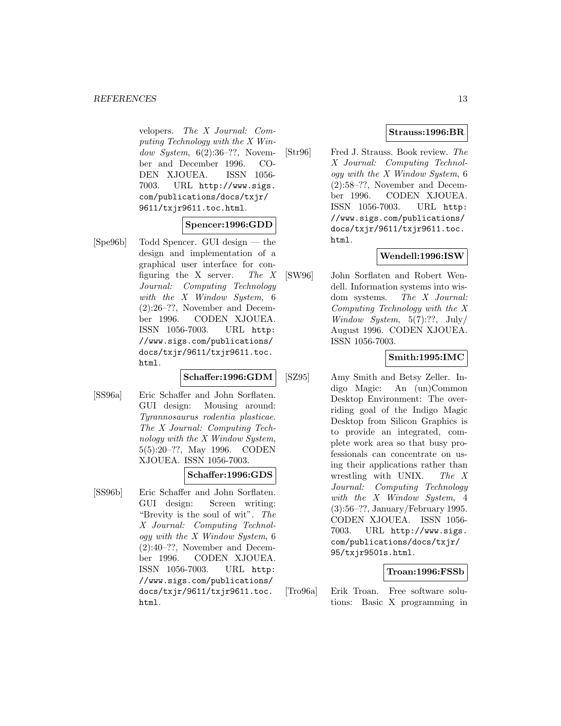velopers. The X Journal: Computing Technology with the X Window System,  $6(2):36-??$ , November and December 1996. CO-DEN XJOUEA. ISSN 1056- 7003. URL http://www.sigs. com/publications/docs/txjr/ 9611/txjr9611.toc.html.

## **Spencer:1996:GDD**

[Spe96b] Todd Spencer. GUI design — the design and implementation of a graphical user interface for configuring the X server. The  $X$ Journal: Computing Technology with the X Window System, 6 (2):26–??, November and December 1996. CODEN XJOUEA. ISSN 1056-7003. URL http: //www.sigs.com/publications/ docs/txjr/9611/txjr9611.toc. html.

#### **Schaffer:1996:GDM**

[SS96a] Eric Schaffer and John Sorflaten. GUI design: Mousing around: Tyrannosaurus rodentia plasticae. The X Journal: Computing Technology with the X Window System, 5(5):20–??, May 1996. CODEN XJOUEA. ISSN 1056-7003.

#### **Schaffer:1996:GDS**

[SS96b] Eric Schaffer and John Sorflaten. GUI design: Screen writing: "Brevity is the soul of wit". The X Journal: Computing Technology with the X Window System, 6 (2):40–??, November and December 1996. CODEN XJOUEA. ISSN 1056-7003. URL http: //www.sigs.com/publications/ docs/txjr/9611/txjr9611.toc. html.

## **Strauss:1996:BR**

[Str96] Fred J. Strauss. Book review. The X Journal: Computing Technology with the X Window System, 6 (2):58–??, November and December 1996. CODEN XJOUEA. ISSN 1056-7003. URL http: //www.sigs.com/publications/ docs/txjr/9611/txjr9611.toc. html.

## **Wendell:1996:ISW**

[SW96] John Sorflaten and Robert Wendell. Information systems into wisdom systems. The X Journal: Computing Technology with the X Window System,  $5(7)$ :??, July/ August 1996. CODEN XJOUEA. ISSN 1056-7003.

#### **Smith:1995:IMC**

[SZ95] Amy Smith and Betsy Zeller. Indigo Magic: An (un)Common Desktop Environment: The overriding goal of the Indigo Magic Desktop from Silicon Graphics is to provide an integrated, complete work area so that busy professionals can concentrate on using their applications rather than wrestling with UNIX. The X Journal: Computing Technology with the X Window System, 4 (3):56–??, January/February 1995. CODEN XJOUEA. ISSN 1056- 7003. URL http://www.sigs. com/publications/docs/txjr/ 95/txjr9501s.html.

#### **Troan:1996:FSSb**

[Tro96a] Erik Troan. Free software solutions: Basic X programming in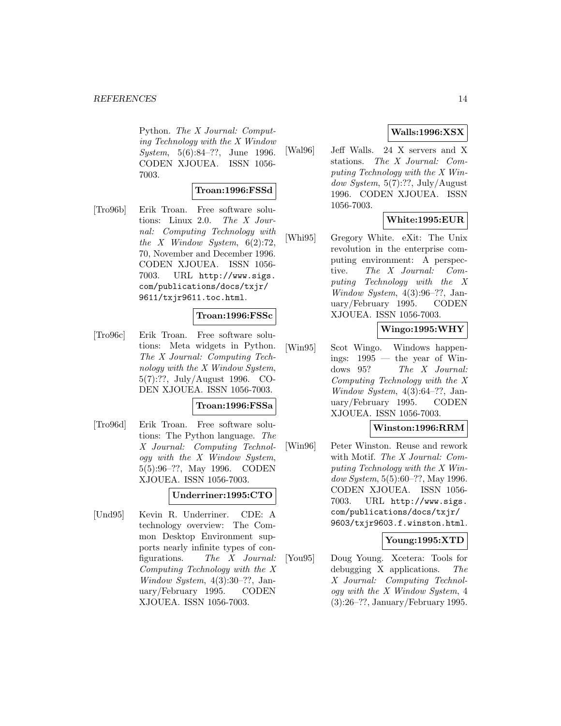Python. The X Journal: Computing Technology with the X Window System, 5(6):84–??, June 1996. CODEN XJOUEA. ISSN 1056- 7003.

#### **Troan:1996:FSSd**

[Tro96b] Erik Troan. Free software solutions: Linux 2.0. The X Journal: Computing Technology with the X Window System,  $6(2):72$ , 70, November and December 1996. CODEN XJOUEA. ISSN 1056- 7003. URL http://www.sigs. com/publications/docs/txjr/ 9611/txjr9611.toc.html.

#### **Troan:1996:FSSc**

[Tro96c] Erik Troan. Free software solutions: Meta widgets in Python. The X Journal: Computing Technology with the X Window System, 5(7):??, July/August 1996. CO-DEN XJOUEA. ISSN 1056-7003.

#### **Troan:1996:FSSa**

[Tro96d] Erik Troan. Free software solutions: The Python language. The X Journal: Computing Technology with the X Window System, 5(5):96–??, May 1996. CODEN XJOUEA. ISSN 1056-7003.

**Underriner:1995:CTO**

[Und95] Kevin R. Underriner. CDE: A technology overview: The Common Desktop Environment supports nearly infinite types of configurations. The X Journal: Computing Technology with the X Window System, 4(3):30–??, January/February 1995. CODEN XJOUEA. ISSN 1056-7003.

## **Walls:1996:XSX**

[Wal96] Jeff Walls. 24 X servers and X stations. The X Journal: Computing Technology with the X Window System,  $5(7)$ :??, July/August 1996. CODEN XJOUEA. ISSN 1056-7003.

## **White:1995:EUR**

[Whi95] Gregory White. eXit: The Unix revolution in the enterprise computing environment: A perspective. The X Journal: Computing Technology with the X Window System, 4(3):96–??, January/February 1995. CODEN XJOUEA. ISSN 1056-7003.

## **Wingo:1995:WHY**

[Win95] Scot Wingo. Windows happenings: 1995 — the year of Windows 95? The X Journal: Computing Technology with the X Window System,  $4(3):64-??$ , January/February 1995. CODEN XJOUEA. ISSN 1056-7003.

## **Winston:1996:RRM**

[Win96] Peter Winston. Reuse and rework with Motif. The X Journal: Computing Technology with the X Window System, 5(5):60–??, May 1996. CODEN XJOUEA. ISSN 1056- 7003. URL http://www.sigs. com/publications/docs/txjr/ 9603/txjr9603.f.winston.html.

#### **Young:1995:XTD**

[You95] Doug Young. Xcetera: Tools for debugging X applications. The X Journal: Computing Technology with the X Window System, 4 (3):26–??, January/February 1995.